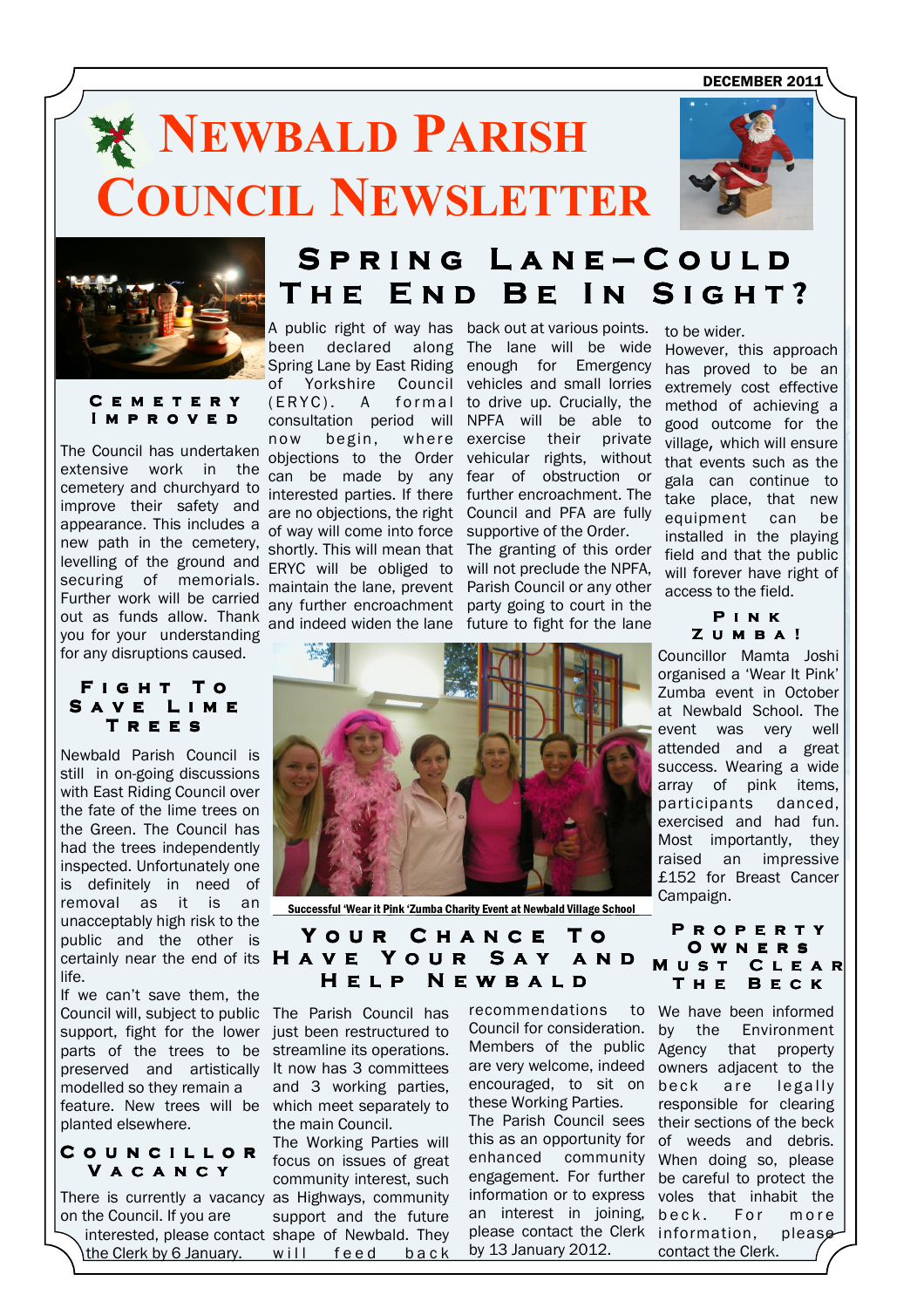DECEMBER 2011

# **NEWBALD PARISH** 'OUNCIL NEWSLETTER





#### C e m e t e r y I M P R O V E D

The Council has undertaken extensive work in the cemetery and churchyard to improve their safety and appearance. This includes a new path in the cemetery, levelling of the ground and securing of memorials. Further work will be carried out as funds allow. Thank you for your understanding for any disruptions caused.

#### FIGHT TO SAVE LIME TREES

Newbald Parish Council is still in on-going discussions with East Riding Council over the fate of the lime trees on the Green. The Council has had the trees independently inspected. Unfortunately one is definitely in need of removal as it is an unacceptably high risk to the public and the other is certainly near the end of its life.

Council will, subject to public The Parish Council has support, fight for the lower just been restructured to feature. New trees will be which meet separately to If we can't save them, the parts of the trees to be preserved and artistically modelled so they remain a planted elsewhere.

#### COUNCILLOR V A C A N C Y

There is currently a vacancy as Highways, community  $\diagdown$  interested, please contact shape of Newbald. They on the Council. If you are the Clerk by 6 January.

# S P R I N G L A N E - C O U L D THE END BE IN SIGHT?

A public right of way has back out at various points. been declared along The lane will be wide Spring Lane by East Riding enough for Emergency of Yorkshire Council vehicles and small lorries (ERYC). A formal to drive up. Crucially, the consultation period will NPFA will be able to now begin, objections to the Order vehicular rights, without can be made by any fear of obstruction or interested parties. If there further encroachment. The are no objections, the right Council and PFA are fully of way will come into force supportive of the Order. shortly. This will mean that The granting of this order ERYC will be obliged to will not preclude the NPFA, maintain the lane, prevent Parish Council or any other any further encroachment party going to court in the and indeed widen the lane future to fight for the lane

where exercise their private

to be wider.

However, this approach has proved to be an extremely cost effective method of achieving a good outcome for the village, which will ensure that events such as the gala can continue to take place, that new equipment can be installed in the playing field and that the public will forever have right of access to the field.

> P i n k Z U M B A !

Councillor Mamta Joshi organised a 'Wear It Pink' Zumba event in October at Newbald School. The event was very well attended and a great success. Wearing a wide array of pink items, participants danced, exercised and had fun. Most importantly, they raised an impressive £152 for Breast Cancer Campaign.

Successful 'Wear it Pink 'Zumba Charity Event at Newbald Village School

### YOUR CHANCE TO HAVE YOUR SAY AND H E L P N E W B A L D

streamline its operations. It now has 3 committees and 3 working parties, the main Council.

The Working Parties will focus on issues of great community interest, such support and the future will feed back

recommendations Council for consideration. by are very welcome, indeed encouraged, to sit on these Working Parties. enhanced community engagement. For further an interest in joining, by 13 January 2012.



Members of the public Agency that property The Parish Council sees their sections of the beck this as an opportunity for of weeds and debris. information or to express voles that inhabit the please contact the Clerk information, please We have been informed the Environment owners adjacent to the beck are legally responsible for clearing When doing so, please be careful to protect the beck. For more contact the Clerk.